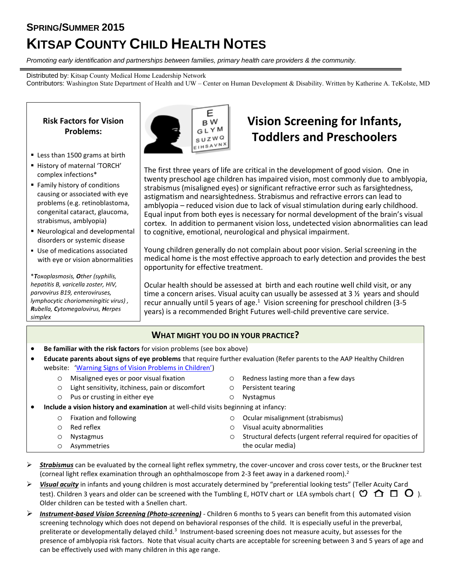## **SPRING/SUMMER 2015 KITSAP COUNTY CHILD HEALTH NOTES**

*Promoting early identification and partnerships between families, primary health care providers & the community.*

Distributed by: Kitsap County Medical Home Leadership Network Contributors: Washington State Department of Health and UW – Center on Human Development & Disability. Written by Katherine A. TeKolste, MD

**Risk Factors for Vision Problems:**

- Less than 1500 grams at birth
- History of maternal 'TORCH' complex infections\*
- Family history of conditions causing or associated with eye problems (e.g. retinoblastoma, congenital cataract, glaucoma, strabismus, amblyopia)
- Neurological and developmental disorders or systemic disease
- Use of medications associated with eye or vision abnormalities

\**Toxoplasmosis, Other (syphilis, hepatitis B, varicella zoster, HIV, parvovirus B19, enteroviruses, lymphocytic choriomeningitic virus) , Rubella, Cytomegalovirus, Herpes simplex*



## **Vision Screening for Infants, Toddlers and Preschoolers**

The first three years of life are critical in the development of good vision. One in twenty preschool age children has impaired vision, most commonly due to amblyopia, strabismus (misaligned eyes) or significant refractive error such as farsightedness, astigmatism and nearsightedness. Strabismus and refractive errors can lead to amblyopia – reduced vision due to lack of visual stimulation during early childhood. Equal input from both eyes is necessary for normal development of the brain's visual cortex. In addition to permanent vision loss, undetected vision abnormalities can lead to cognitive, emotional, neurological and physical impairment.

Young children generally do not complain about poor vision. Serial screening in the medical home is the most effective approach to early detection and provides the best opportunity for effective treatment.

Ocular health should be assessed at birth and each routine well child visit, or any time a concern arises. Visual acuity can usually be assessed at 3 ½ years and should recur annually until 5 years of age.<sup>1</sup> Vision screening for preschool children (3-5 years) is a recommended Bright Futures well-child preventive care service.

## **WHAT MIGHT YOU DO IN YOUR PRACTICE?**

- **Be familiar with the risk factors** for vision problems (see box above)
- **Educate parents about signs of eye problems** that require further evaluation (Refer parents to the AAP Healthy Children website: ['Warning Signs of Vision Problems in Children'](http://www.healthychildren.org/English/health-issues/conditions/eyes/Pages/Warning-Signs-of-Vison-Problems-in-Children.aspx))
	- o Misaligned eyes or poor visual fixation
	- o Light sensitivity, itchiness, pain or discomfort
	- o Pus or crusting in either eye
- o Redness lasting more than a few days
- o Persistent tearing
- o Nystagmus
- **Include a vision history and examination** at well-child visits beginning at infancy:

| <b>Fixation and following</b> | O Ocular misalignment (strabismus)                                    |
|-------------------------------|-----------------------------------------------------------------------|
| Red reflex                    | $\circ$ Visual acuity abnormalities                                   |
| Nystagmus                     | $\circ$ Structural defects (urgent referral required for opacities of |
| Asymmetries                   | the ocular media)                                                     |

- **Exalum** Figust 2 and be evaluated by the corneal light reflex symmetry, the cover-uncover and cross cover tests, or the Bruckner test (corneal light reflex examination through an ophthalmoscope from 2-3 feet away in a darkened room).<sup>2</sup>
- *Visual acuity* in infants and young children is most accurately determined by "preferential looking tests" (Teller Acuity Card test). Children 3 years and older can be screened with the Tumbling E, HOTV chart or LEA symbols chart ( $\heartsuit \bigcap \Box \Box$ ). Older children can be tested with a Snellen chart.
- *Instrument-based Vision Screening (Photo-screening)* Children 6 months to 5 years can benefit from this automated vision screening technology which does not depend on behavioral responses of the child. It is especially useful in the preverbal, preliterate or developmentally delayed child.<sup>3</sup> Instrument-based screening does not measure acuity, but assesses for the presence of amblyopia risk factors. Note that visual acuity charts are acceptable for screening between 3 and 5 years of age and can be effectively used with many children in this age range.